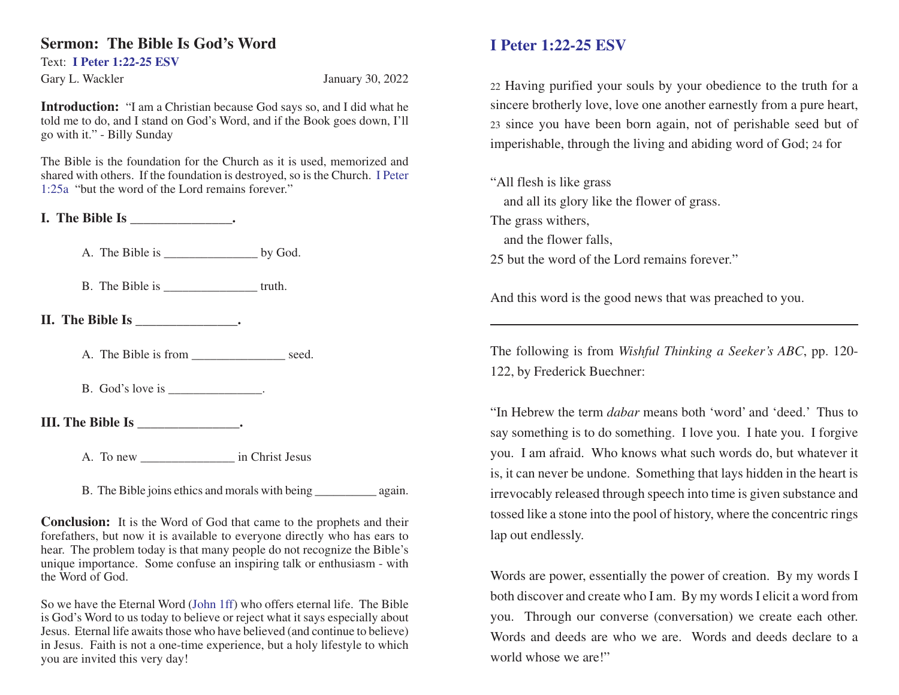## **Sermon: The Bible Is God's Word**

Text: **I Peter 1:22-25 ESV**

Gary L. Wackler January 30, 2022

**Introduction:** "I am a Christian because God says so, and I did what he told me to do, and I stand on God's Word, and if the Book goes down, I'll go with it." - Billy Sunday

The Bible is the foundation for the Church as it is used, memorized and shared with others. If the foundation is destroyed, so is the Church. I Peter 1:25a "but the word of the Lord remains forever."

**I. The Bible Is \_\_\_\_\_\_\_\_\_\_\_\_\_\_\_.**

A. The Bible is \_\_\_\_\_\_\_\_\_\_\_\_\_\_\_\_\_\_\_\_\_\_ by God.

B. The Bible is \_\_\_\_\_\_\_\_\_\_\_\_\_\_\_\_\_\_\_\_\_\_\_truth.

**II.** The Bible Is  $\qquad \qquad$ .

A. The Bible is from seed.

B. God's love is  $\qquad \qquad$ 

**III. The Bible Is \_\_\_\_\_\_\_\_\_\_\_\_\_\_\_.**

A. To new in Christ Jesus

B. The Bible joins ethics and morals with being again.

**Conclusion:** It is the Word of God that came to the prophets and their forefathers, but now it is available to everyone directly who has ears to hear. The problem today is that many people do not recognize the Bible's unique importance. Some confuse an inspiring talk or enthusiasm - with the Word of God.

So we have the Eternal Word (John 1ff) who offers eternal life. The Bible is God's Word to us today to believe or reject what it says especially about Jesus. Eternal life awaits those who have believed (and continue to believe) in Jesus. Faith is not a one-time experience, but a holy lifestyle to which you are invited this very day!

## **I Peter 1:22-25 ESV**

<sup>22</sup> Having purified your souls by your obedience to the truth for a sincere brotherly love, love one another earnestly from a pure heart, <sup>23</sup> since you have been born again, not of perishable seed but of imperishable, through the living and abiding word of God; 24 for

"All flesh is like grass and all its glory like the flower of grass. The grass withers, and the flower falls, 25 but the word of the Lord remains forever."

And this word is the good news that was preached to you.

The following is from *Wishful Thinking a Seeker's ABC*, pp. 120- 122, by Frederick Buechner:

"In Hebrew the term *dabar* means both 'word' and 'deed.' Thus to say something is to do something. I love you. I hate you. I forgive you. I am afraid. Who knows what such words do, but whatever it is, it can never be undone. Something that lays hidden in the heart is irrevocably released through speech into time is given substance and tossed like a stone into the pool of history, where the concentric rings lap out endlessly.

Words are power, essentially the power of creation. By my words I both discover and create who I am. By my words I elicit a word from you. Through our converse (conversation) we create each other. Words and deeds are who we are. Words and deeds declare to a world whose we are!"